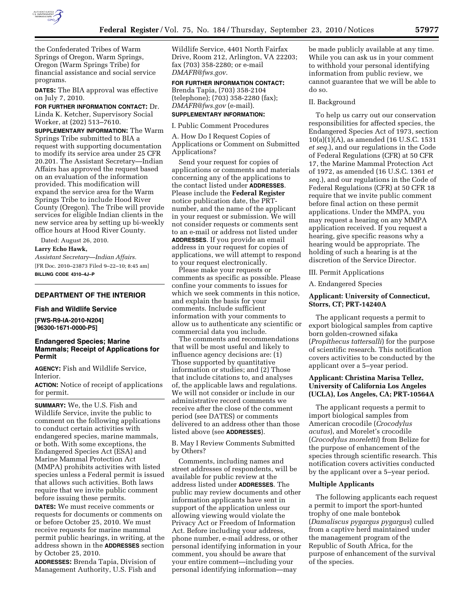

the Confederated Tribes of Warm Springs of Oregon, Warm Springs, Oregon (Warm Springs Tribe) for financial assistance and social service programs.

**DATES:** The BIA approval was effective on July 7, 2010.

**FOR FURTHER INFORMATION CONTACT:** Dr. Linda K. Ketcher, Supervisory Social Worker, at (202) 513–7610.

**SUPPLEMENTARY INFORMATION:** The Warm Springs Tribe submitted to BIA a request with supporting documentation to modify its service area under 25 CFR 20.201. The Assistant Secretary—Indian Affairs has approved the request based on an evaluation of the information provided. This modification will expand the service area for the Warm Springs Tribe to include Hood River County (Oregon). The Tribe will provide services for eligible Indian clients in the new service area by setting up bi-weekly office hours at Hood River County.

Dated: August 26, 2010.

**Larry Echo Hawk,** 

*Assistant Secretary—Indian Affairs.*  [FR Doc. 2010–23873 Filed 9–22–10; 8:45 am] **BILLING CODE 4310–4J–P** 

#### **DEPARTMENT OF THE INTERIOR**

#### **Fish and Wildlife Service**

**[FWS-R9-IA-2010-N204] [96300-1671-0000-P5]** 

## **Endangered Species; Marine Mammals; Receipt of Applications for Permit**

**AGENCY:** Fish and Wildlife Service, Interior.

**ACTION:** Notice of receipt of applications for permit.

**SUMMARY:** We, the U.S. Fish and Wildlife Service, invite the public to comment on the following applications to conduct certain activities with endangered species, marine mammals, or both. With some exceptions, the Endangered Species Act (ESA) and Marine Mammal Protection Act (MMPA) prohibits activities with listed species unless a Federal permit is issued that allows such activities. Both laws require that we invite public comment before issuing these permits.

**DATES:** We must receive comments or requests for documents or comments on or before October 25, 2010. We must receive requests for marine mammal permit public hearings, in writing, at the address shown in the **ADDRESSES** section by October 25, 2010.

**ADDRESSES:** Brenda Tapia, Division of Management Authority, U.S. Fish and Wildlife Service, 4401 North Fairfax Drive, Room 212, Arlington, VA 22203; fax (703) 358-2280; or e-mail *[DMAFR@fws.gov](mailto:DMAFR@fws.gov)*.

**FOR FURTHER INFORMATION CONTACT:** 

Brenda Tapia, (703) 358-2104 (telephone); (703) 358-2280 (fax); *[DMAFR@fws.gov](mailto:DMAFR@fws.gov)* (e-mail).

# **SUPPLEMENTARY INFORMATION:**

I. Public Comment Procedures

A. How Do I Request Copies of Applications or Comment on Submitted Applications?

Send your request for copies of applications or comments and materials concerning any of the applications to the contact listed under **ADDRESSES**. Please include the **Federal Register**  notice publication date, the PRTnumber, and the name of the applicant in your request or submission. We will not consider requests or comments sent to an e-mail or address not listed under **ADDRESSES**. If you provide an email address in your request for copies of applications, we will attempt to respond to your request electronically.

Please make your requests or comments as specific as possible. Please confine your comments to issues for which we seek comments in this notice, and explain the basis for your comments. Include sufficient information with your comments to allow us to authenticate any scientific or commercial data you include.

The comments and recommendations that will be most useful and likely to influence agency decisions are: (1) Those supported by quantitative information or studies; and (2) Those that include citations to, and analyses of, the applicable laws and regulations. We will not consider or include in our administrative record comments we receive after the close of the comment period (see DATES) or comments delivered to an address other than those listed above (see **ADDRESSES**).

B. May I Review Comments Submitted by Others?

Comments, including names and street addresses of respondents, will be available for public review at the address listed under **ADDRESSES**. The public may review documents and other information applicants have sent in support of the application unless our allowing viewing would violate the Privacy Act or Freedom of Information Act. Before including your address, phone number, e-mail address, or other personal identifying information in your comment, you should be aware that your entire comment—including your personal identifying information—may

be made publicly available at any time. While you can ask us in your comment to withhold your personal identifying information from public review, we cannot guarantee that we will be able to do so.

#### II. Background

To help us carry out our conservation responsibilities for affected species, the Endangered Species Act of 1973, section 10(a)(1)(A), as amended (16 U.S.C. 1531 *et seq.*), and our regulations in the Code of Federal Regulations (CFR) at 50 CFR 17, the Marine Mammal Protection Act of 1972, as amended (16 U.S.C. 1361 *et seq.*), and our regulations in the Code of Federal Regulations (CFR) at 50 CFR 18 require that we invite public comment before final action on these permit applications. Under the MMPA, you may request a hearing on any MMPA application received. If you request a hearing, give specific reasons why a hearing would be appropriate. The holding of such a hearing is at the discretion of the Service Director.

III. Permit Applications

A. Endangered Species

## **Applicant: University of Connecticut, Storrs, CT; PRT-14240A**

The applicant requests a permit to export biological samples from captive born golden-crowned sifaka (*Propithecus tattersalli*) for the purpose of scientific research. This notification covers activities to be conducted by the applicant over a 5–year period.

## **Applicant: Christina Marisa Tellez, University of California Los Angeles (UCLA), Los Angeles, CA; PRT-10564A**

The applicant requests a permit to import biological samples from American crocodile (*Crocodylus acutus*), and Morelet's crocodile (*Crocodylus moreletti*) from Belize for the purpose of enhancement of the species through scientific research. This notification covers activities conducted by the applicant over a 5–year period.

### **Multiple Applicants**

The following applicants each request a permit to import the sport-hunted trophy of one male bontebok (*Damaliscus pygargus pygargus*) culled from a captive herd maintained under the management program of the Republic of South Africa, for the purpose of enhancement of the survival of the species.